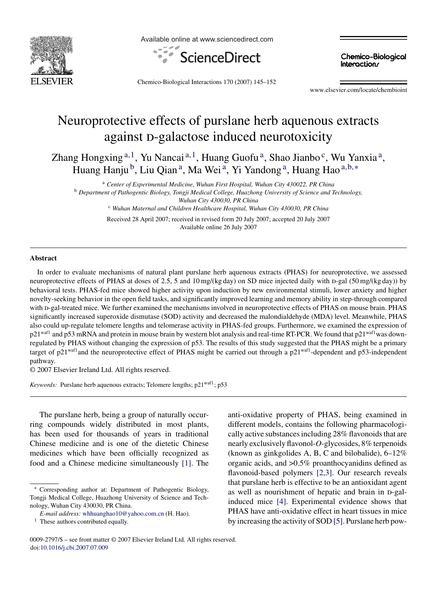

Available online at www.sciencedirect.com



**Chemico-Biological** Interactions

Chemico-Biological Interactions 170 (2007) 145–152

www.elsevier.com/locate/chembioint

# Neuroprotective effects of purslane herb aquenous extracts against p-galactose induced neurotoxicity

Zhang Hongxing  $a,1$ , Yu Nancai  $a,1$ , Huang Guofu  $a$ , Shao Jianbo  $c$ , Wu Yanxia  $a$ , Huang Hanju<sup>b</sup>, Liu Qian<sup>a</sup>, Ma Wei<sup>a</sup>, Yi Yandong<sup>a</sup>, Huang Hao<sup>a,b,∗</sup>

<sup>a</sup> *Center of Experimental Medicine, Wuhan First Hospital, Wuhan City 430022, PR China* <sup>b</sup> *Department of Pathogentic Biology, Tongji Medical College, Huazhong University of Science and Technology, Wuhan City 430030, PR China* <sup>c</sup> *Wuhan Maternal and Children Healthcare Hospital, Wuhan City 430030, PR China*

Received 28 April 2007; received in revised form 20 July 2007; accepted 20 July 2007 Available online 26 July 2007

## **Abstract**

In order to evaluate mechanisms of natural plant purslane herb aquenous extracts (PHAS) for neuroprotective, we assessed neuroprotective effects of PHAS at doses of 2.5, 5 and 10 mg/(kg day) on SD mice injected daily with d-gal (50 mg/(kg day)) by behavioral tests. PHAS-fed mice showed higher activity upon induction by new environmental stimuli, lower anxiety and higher novelty-seeking behavior in the open field tasks, and significantly improved learning and memory ability in step-through compared with p-gal-treated mice. We further examined the mechanisms involved in neuroprotective effects of PHAS on mouse brain. PHAS significantly increased superoxide dismutase (SOD) activity and decreased the malondialdehyde (MDA) level. Meanwhile, PHAS also could up-regulate telomere lengths and telomerase activity in PHAS-fed groups. Furthermore, we examined the expression of  $p21<sup>wall</sup>$  and p53 mRNA and protein in mouse brain by western blot analysis and real-time RT-PCR. We found that  $p21<sup>wall</sup>$ was downregulated by PHAS without changing the expression of p53. The results of this study suggested that the PHAS might be a primary target of p21<sup>waf1</sup>and the neuroprotective effect of PHAS might be carried out through a p21<sup>waf1</sup>-dependent and p53-independent pathway.

© 2007 Elsevier Ireland Ltd. All rights reserved.

*Keywords:* Purslane herb aquenous extracts; Telomere lengths; p21<sup>waf1</sup>; p53

The purslane herb, being a group of naturally occurring compounds widely distributed in most plants, has been used for thousands of years in traditional Chinese medicine and is one of the dietetic Chinese medicines which have been officially recognized as food and a Chinese medicine simultaneously [\[1\].](#page-6-0) The anti-oxidative property of PHAS, being examined in different models, contains the following pharmacologically active substances including 28% flavonoids that are nearly exclusively flavonol-*O*-glycosides, 8% terpenoids (known as ginkgolides A, B, C and bilobalide), 6–12% organic acids, and >0.5% proanthocyanidins defined as flavonoid-based polymers [\[2,3\].](#page-6-0) Our research reveals that purslane herb is effective to be an antioxidant agent as well as nourishment of hepatic and brain in p-galinduced mice [\[4\].](#page-6-0) Experimental evidence shows that PHAS have anti-oxidative effect in heart tissues in mice by increasing the activity of SOD [\[5\]. P](#page-7-0)urslane herb pow-

<sup>∗</sup> Corresponding author at: Department of Pathogentic Biology, Tongji Medical College, Huazhong University of Science and Technology, Wuhan City 430030, PR China.

*E-mail address:* [whhuanghao10@yahoo.com.cn](mailto:whhuanghao10@yahoo.com.cn) (H. Hao).

<sup>&</sup>lt;sup>1</sup> These authors contributed equally.

<sup>0009-2797/\$ –</sup> see front matter © 2007 Elsevier Ireland Ltd. All rights reserved. doi:[10.1016/j.cbi.2007.07.009](dx.doi.org/10.1016/j.cbi.2007.07.009)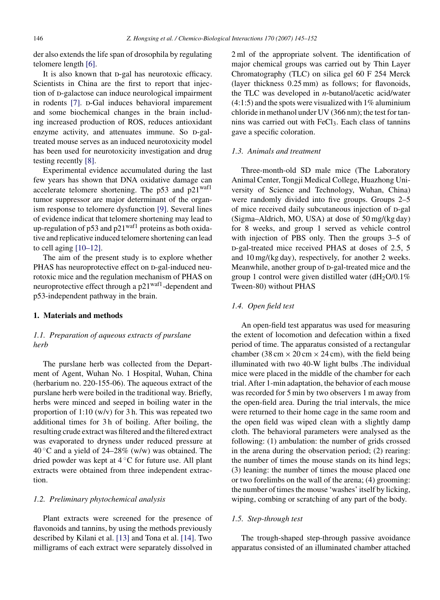<span id="page-1-0"></span>der also extends the life span of drosophila by regulating telomere length [\[6\].](#page-7-0)

It is also known that p-gal has neurotoxic efficacy. Scientists in China are the first to report that injection of p-galactose can induce neurological impairment in rodents [\[7\].](#page-7-0) p-Gal induces behavioral imparement and some biochemical changes in the brain including increased production of ROS, reduces antioxidant enzyme activity, and attenuates immune. So p-galtreated mouse serves as an induced neurotoxicity model has been used for neurotoxicity investigation and drug testing recently [\[8\].](#page-7-0)

Experimental evidence accumulated during the last few years has shown that DNA oxidative damage can accelerate telomere shortening. The  $p53$  and  $p21<sup>waf1</sup>$ tumor suppressor are major determinant of the organism response to telomere dysfunction [\[9\].](#page-7-0) Several lines of evidence indicat that telomere shortening may lead to up-regulation of p53 and  $p21<sup>waf1</sup>$  proteins as both oxidative and replicative induced telomere shortening can lead to cell aging [\[10–12\].](#page-7-0)

The aim of the present study is to explore whether PHAS has neuroprotective effect on D-gal-induced neurotoxic mice and the regulation mechanism of PHAS on neuroprotective effect through a p21waf1-dependent and p53-independent pathway in the brain.

# **1. Materials and methods**

# *1.1. Preparation of aqueous extracts of purslane herb*

The purslane herb was collected from the Department of Agent, Wuhan No. 1 Hospital, Wuhan, China (herbarium no. 220-155-06). The aqueous extract of the purslane herb were boiled in the traditional way. Briefly, herbs were minced and seeped in boiling water in the proportion of 1:10 (w/v) for 3 h. This was repeated two additional times for 3 h of boiling. After boiling, the resulting crude extract was filtered and the filtered extract was evaporated to dryness under reduced pressure at 40 °C and a yield of 24–28% (w/w) was obtained. The dried powder was kept at 4 ◦C for future use. All plant extracts were obtained from three independent extraction.

## *1.2. Preliminary phytochemical analysis*

Plant extracts were screened for the presence of flavonoids and tannins, by using the methods previously described by Kilani et al. [\[13\]](#page-7-0) and Tona et al. [\[14\].](#page-7-0) Two milligrams of each extract were separately dissolved in 2 ml of the appropriate solvent. The identification of major chemical groups was carried out by Thin Layer Chromatography (TLC) on silica gel 60 F 254 Merck (layer thickness 0.25 mm) as follows; for flavonoids, the TLC was developed in *n*-butanol/acetic acid/water  $(4:1:5)$  and the spots were visualized with  $1\%$  aluminium chloride in methanol under UV (366 nm); the test for tannins was carried out with FeCl<sub>3</sub>. Each class of tannins gave a specific coloration.

#### *1.3. Animals and treatment*

Three-month-old SD male mice (The Laboratory Animal Center, Tongji Medical College, Huazhong University of Science and Technology, Wuhan, China) were randomly divided into five groups. Groups 2–5 of mice received daily subcutaneous injection of D-gal (Sigma–Aldrich, MO, USA) at dose of 50 mg/(kg day) for 8 weeks, and group 1 served as vehicle control with injection of PBS only. Then the groups 3–5 of D-gal-treated mice received PHAS at doses of 2.5, 5 and 10 mg/(kg day), respectively, for another 2 weeks. Meanwhile, another group of D-gal-treated mice and the group 1 control were given distilled water  $(dH<sub>2</sub>O/0.1\%)$ Tween-80) without PHAS

# *1.4. Open field test*

An open-field test apparatus was used for measuring the extent of locomotion and defecation within a fixed period of time. The apparatus consisted of a rectangular chamber (38 cm  $\times$  20 cm  $\times$  24 cm), with the field being illuminated with two 40-W light bulbs .The individual mice were placed in the middle of the chamber for each trial. After 1-min adaptation, the behavior of each mouse was recorded for 5 min by two observers 1 m away from the open-field area. During the trial intervals, the mice were returned to their home cage in the same room and the open field was wiped clean with a slightly damp cloth. The behavioral parameters were analysed as the following: (1) ambulation: the number of grids crossed in the arena during the observation period; (2) rearing: the number of times the mouse stands on its hind legs; (3) leaning: the number of times the mouse placed one or two forelimbs on the wall of the arena; (4) grooming: the number of times the mouse 'washes' itself by licking, wiping, combing or scratching of any part of the body.

## *1.5. Step-through test*

The trough-shaped step-through passive avoidance apparatus consisted of an illuminated chamber attached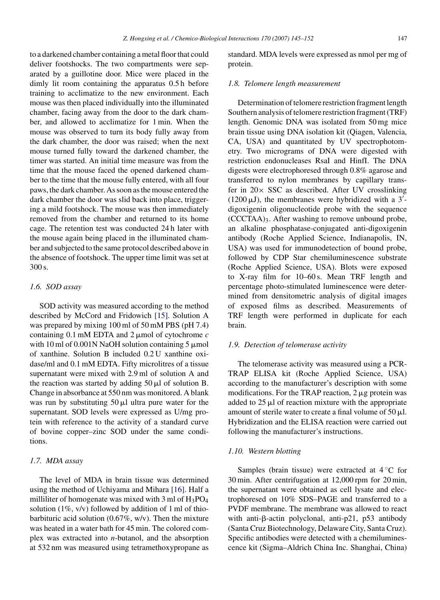to a darkened chamber containing a metal floor that could deliver footshocks. The two compartments were separated by a guillotine door. Mice were placed in the dimly lit room containing the apparatus 0.5 h before training to acclimatize to the new environment. Each mouse was then placed individually into the illuminated chamber, facing away from the door to the dark chamber, and allowed to acclimatize for 1 min. When the mouse was observed to turn its body fully away from the dark chamber, the door was raised; when the next mouse turned fully toward the darkened chamber, the timer was started. An initial time measure was from the time that the mouse faced the opened darkened chamber to the time that the mouse fully entered, with all four paws, the dark chamber. As soon as the mouse entered the dark chamber the door was slid back into place, triggering a mild footshock. The mouse was then immediately removed from the chamber and returned to its home cage. The retention test was conducted 24 h later with the mouse again being placed in the illuminated chamber and subjected to the same protocol described above in the absence of footshock. The upper time limit was set at 300 s.

# *1.6. SOD assay*

SOD activity was measured according to the method described by McCord and Fridowich [\[15\].](#page-7-0) Solution A was prepared by mixing 100 ml of 50 mM PBS (pH 7.4) containing 0.1 mM EDTA and 2-mol of cytochrome *c* with 10 ml of  $0.001$ N NaOH solution containing 5  $\mu$ mol of xanthine. Solution B included 0.2 U xanthine oxidase/ml and 0.1 mM EDTA. Fifty microlitres of a tissue supernatant were mixed with 2.9 ml of solution A and the reaction was started by adding  $50 \mu l$  of solution B. Change in absorbance at 550 nm was monitored. A blank was run by substituting  $50 \mu l$  ultra pure water for the supernatant. SOD levels were expressed as U/mg protein with reference to the activity of a standard curve of bovine copper–zinc SOD under the same conditions.

# *1.7. MDA assay*

The level of MDA in brain tissue was determined using the method of Uchiyama and Mihara [\[16\].](#page-7-0) Half a milliliter of homogenate was mixed with  $3 \text{ ml of } H_3PO_4$ solution (1%,  $v/v$ ) followed by addition of 1 ml of thiobarbituric acid solution (0.67%, w/v). Then the mixture was heated in a water bath for 45 min. The colored complex was extracted into *n*-butanol, and the absorption at 532 nm was measured using tetramethoxypropane as standard. MDA levels were expressed as nmol per mg of protein.

## *1.8. Telomere length measurement*

Determination of telomere restriction fragment length Southern analysis of telomere restriction fragment (TRF) length. Genomic DNA was isolated from 50 mg mice brain tissue using DNA isolation kit (Qiagen, Valencia, CA, USA) and quantitated by UV spectrophotometry. Two micrograms of DNA were digested with restriction endonucleases RsaI and HinfI. The DNA digests were electrophoresed through 0.8% agarose and transferred to nylon membranes by capillary transfer in  $20 \times$  SSC as described. After UV crosslinking  $(1200 \,\mu\text{J})$ , the membranes were hybridized with a 3'digoxigenin oligonucleotide probe with the sequence (CCCTAA)3. After washing to remove unbound probe, an alkaline phosphatase-conjugated anti-digoxigenin antibody (Roche Applied Science, Indianapolis, IN, USA) was used for immunodetection of bound probe, followed by CDP Star chemiluminescence substrate (Roche Applied Science, USA). Blots were exposed to X-ray film for 10–60 s. Mean TRF length and percentage photo-stimulated luminescence were determined from densitometric analysis of digital images of exposed films as described. Measurements of TRF length were performed in duplicate for each brain.

## *1.9. Detection of telomerase activity*

The telomerase activity was measured using a PCR-TRAP ELISA kit (Roche Applied Science, USA) according to the manufacturer's description with some modifications. For the TRAP reaction,  $2 \mu$ g protein was added to  $25 \mu l$  of reaction mixture with the appropriate amount of sterile water to create a final volume of  $50 \mu$ l. Hybridization and the ELISA reaction were carried out following the manufacturer's instructions.

#### *1.10. Western blotting*

Samples (brain tissue) were extracted at  $4 °C$  for 30 min. After centrifugation at 12,000 rpm for 20 min, the supernatant were obtained as cell lysate and electrophoresed on 10% SDS–PAGE and transferred to a PVDF membrane. The membrane was allowed to react with anti- $\beta$ -actin polyclonal, anti-p21, p53 antibody (Santa Cruz Biotechnology, Delaware City, Santa Cruz). Specific antibodies were detected with a chemiluminescence kit (Sigma–Aldrich China Inc. Shanghai, China)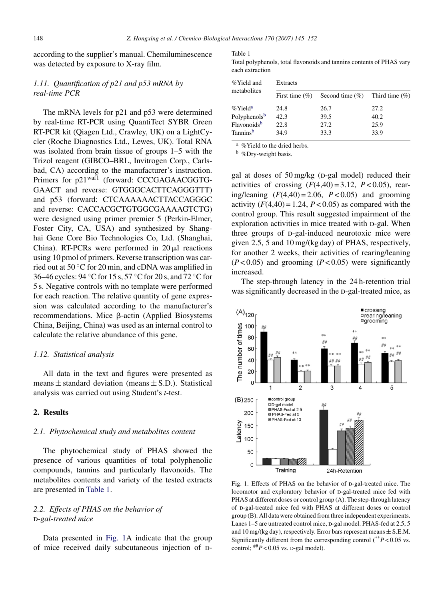<span id="page-3-0"></span>according to the supplier's manual. Chemiluminescence was detected by exposure to X-ray film.

# *1.11. Quantification of p21 and p53 mRNA by real-time PCR*

The mRNA levels for p21 and p53 were determined by real-time RT-PCR using QuantiTect SYBR Green RT-PCR kit (Qiagen Ltd., Crawley, UK) on a LightCycler (Roche Diagnostics Ltd., Lewes, UK). Total RNA was isolated from brain tissue of groups 1–5 with the Trizol reagent (GIBCO–BRL, Invitrogen Corp., Carlsbad, CA) according to the manufacturer's instruction. Primers for p21<sup>waf1</sup> (forward: CCCGAGAACGGTG-GAACT and reverse: GTGGGCACTTCAGGGTTT) and p53 (forward: CTCAAAAAACTTACCAGGGC and reverse: CACCACGCTGTGGCGAAAAGTCTG) were designed using primer premier 5 (Perkin-Elmer, Foster City, CA, USA) and synthesized by Shanghai Gene Core Bio Technologies Co, Ltd. (Shanghai, China). RT-PCRs were performed in  $20 \mu l$  reactions using 10 pmol of primers. Reverse transcription was carried out at 50 ◦C for 20 min, and cDNA was amplified in 36–46 cycles: 94 ◦C for 15 s, 57 ◦C for 20 s, and 72 ◦C for 5 s. Negative controls with no template were performed for each reaction. The relative quantity of gene expression was calculated according to the manufacturer's recommendations. Mice  $\beta$ -actin (Applied Biosystems China, Beijing, China) was used as an internal control to calculate the relative abundance of this gene.

## *1.12. Statistical analysis*

All data in the text and figures were presented as means  $\pm$  standard deviation (means  $\pm$  S.D.). Statistical analysis was carried out using Student's *t*-test.

# **2. Results**

# *2.1. Phytochemical study and metabolites content*

The phytochemical study of PHAS showed the presence of various quantities of total polyphenolic compounds, tannins and particularly flavonoids. The metabolites contents and variety of the tested extracts are presented in Table 1.

# *2.2. Effects of PHAS on the behavior of* d*-gal-treated mice*

Data presented in Fig. 1A indicate that the group of mice received daily subcutaneous injection of D-

Table 1

Total polyphenols, total flavonoids and tannins contents of PHAS vary each extraction

| %Yield and<br>metabolites | Extracts           |                     |                   |
|---------------------------|--------------------|---------------------|-------------------|
|                           | First time $(\% )$ | Second time $(\% )$ | Third time $(\%)$ |
| $\%$ Yield <sup>a</sup>   | 24.8               | 26.7                | 27.2              |
| Polyphenolsb              | 42.3               | 39.5                | 40.2              |
| Flavonoids <sup>b</sup>   | 22.8               | 27.2                | 25.9              |
| Tanninsb                  | 34.9               | 33.3                | 33.9              |

<sup>a</sup> % Yield to the dried herbs.

<sup>b</sup> %Dry-weight basis.

gal at doses of  $50 \text{ mg/kg}$  (D-gal model) reduced their activities of crossing  $(F(4,40) = 3.12, P < 0.05)$ , rearing/leaning  $(F(4,40) = 2.06, P < 0.05)$  and grooming activity  $(F(4,40) = 1.24, P < 0.05)$  as compared with the control group. This result suggested impairment of the exploration activities in mice treated with p-gal. When three groups of p-gal-induced neurotoxic mice were given 2.5, 5 and 10 mg/(kg day) of PHAS, respectively, for another 2 weeks, their activities of rearing/leaning  $(P<0.05)$  and grooming  $(P<0.05)$  were significantly increased.

The step-through latency in the 24 h-retention trial was significantly decreased in the D-gal-treated mice, as



Fig. 1. Effects of PHAS on the behavior of p-gal-treated mice. The locomotor and exploratory behavior of D-gal-treated mice fed with PHAS at different doses or control group (A). The step-through latency of D-gal-treated mice fed with PHAS at different doses or control group (B). All data were obtained from three independent experiments. Lanes 1–5 are untreated control mice, p-gal model. PHAS-fed at 2.5, 5 and 10 mg/(kg day), respectively. Error bars represent means  $\pm$  S.E.M. Significantly different from the corresponding control  $(^{**}P<0.05$  vs. control;  $#P < 0.05$  vs. p-gal model).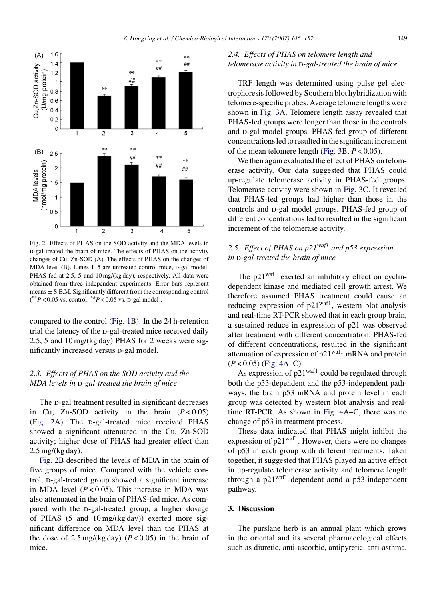<span id="page-4-0"></span>

Fig. 2. Effects of PHAS on the SOD activity and the MDA levels in d-gal-treated the brain of mice. The effects of PHAS on the activity changes of Cu, Zn-SOD (A). The effects of PHAS on the changes of MDA level (B). Lanes 1-5 are untreated control mice, p-gal model. PHAS-fed at 2.5, 5 and 10 mg/(kg day), respectively. All data were obtained from three independent experiments. Error bars represent means  $\pm$  S.E.M. Significantly different from the corresponding control  $(*p<0.05$  vs. control;  $#P<0.05$  vs. p-gal model).

compared to the control [\(Fig. 1B](#page-3-0)). In the 24 h-retention trial the latency of the D-gal-treated mice received daily 2.5, 5 and 10 mg/(kg day) PHAS for 2 weeks were significantly increased versus D-gal model.

# *2.3. Effects of PHAS on the SOD activity and the MDA levels in p-gal-treated the brain of mice*

The D-gal treatment resulted in significant decreases in Cu, Zn-SOD activity in the brain  $(P < 0.05)$ (Fig. 2A). The D-gal-treated mice received PHAS showed a significant attenuated in the Cu, Zn-SOD activity; higher dose of PHAS had greater effect than 2.5 mg/(kg day).

Fig. 2B described the levels of MDA in the brain of five groups of mice. Compared with the vehicle control, p-gal-treated group showed a significant increase in MDA level  $(P < 0.05)$ . This increase in MDA was also attenuated in the brain of PHAS-fed mice. As compared with the D-gal-treated group, a higher dosage of PHAS (5 and 10 mg/(kg day)) exerted more significant difference on MDA level than the PHAS at the dose of  $2.5 \text{ mg/(kg day)}$  ( $P < 0.05$ ) in the brain of mice.

# *2.4. Effects of PHAS on telomere length and telomerase activity in D-gal-treated the brain of mice*

TRF length was determined using pulse gel electrophoresis followed by Southern blot hybridization with telomere-specific probes. Average telomere lengths were shown in [Fig. 3A](#page-5-0). Telomere length assay revealed that PHAS-fed groups were longer than those in the controls and D-gal model groups. PHAS-fed group of different concentrations led to resulted in the significant increment of the mean telomere length ([Fig. 3B](#page-5-0), *P* < 0.05).

We then again evaluated the effect of PHAS on telomerase activity. Our data suggested that PHAS could up-regulate telomerase activity in PHAS-fed groups. Telomerase activity were shown in [Fig. 3C](#page-5-0). It revealed that PHAS-fed groups had higher than those in the controls and D-gal model groups. PHAS-fed group of different concentrations led to resulted in the significant increment of the telomerase activity.

# *2.5. Effect of PHAS on p21waf1 and p53 expression* in D-gal-treated the brain of mice

The  $p21<sup>waf1</sup>$  exerted an inhibitory effect on cyclindependent kinase and mediated cell growth arrest. We therefore assumed PHAS treatment could cause an reducing expression of  $p21^{waf1}$ , western blot analysis and real-time RT-PCR showed that in each group brain, a sustained reduce in expression of p21 was observed after treatment with different concentration. PHAS-fed of different concentrations, resulted in the significant attenuation of expression of p21waf1 mRNA and protein  $(P<0.05)$  ([Fig. 4A](#page-6-0)–C).

As expression of  $p21<sup>waf1</sup>$  could be regulated through both the p53-dependent and the p53-independent pathways, the brain p53 mRNA and protein level in each group was detected by western blot analysis and realtime RT-PCR. As shown in [Fig. 4A](#page-6-0)–C, there was no change of p53 in treatment process.

These data indicated that PHAS might inhibit the expression of  $p21<sup>waf1</sup>$ . However, there were no changes of p53 in each group with different treatments. Taken together, it suggested that PHAS played an active effect in up-regulate telomerase activity and telomere length through a  $p21^{waf1}$ -dependent aond a p53-independent pathway.

# **3. Discussion**

The purslane herb is an annual plant which grows in the oriental and its several pharmacological effects such as diuretic, anti-ascorbic, antipyretic, anti-asthma,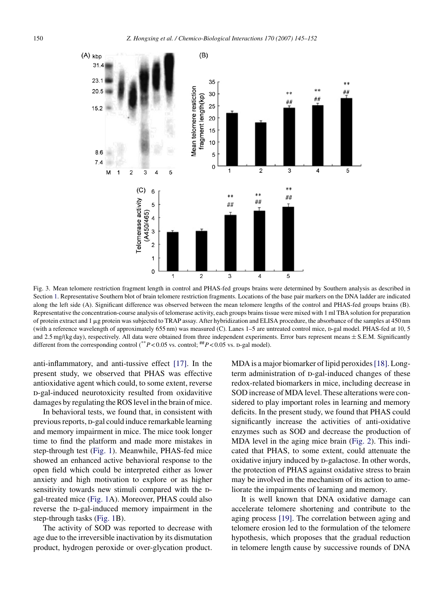<span id="page-5-0"></span>

Fig. 3. Mean telomere restriction fragment length in control and PHAS-fed groups brains were determined by Southern analysis as described in Section [1. R](#page-1-0)epresentative Southern blot of brain telomere restriction fragments. Locations of the base pair markers on the DNA ladder are indicated along the left side (A). Significant difference was observed between the mean telomere lengths of the control and PHAS-fed groups brains (B). Representative the concentration-course analysis of telomerase activity, each groups brains tissue were mixed with 1 ml TBA solution for preparation of protein extract and 1 µg protein was subjected to TRAP assay. After hybridization and ELISA procedure, the absorbance of the samples at 450 nm (with a reference wavelength of approximately 655 nm) was measured (C). Lanes 1–5 are untreated control mice, p-gal model. PHAS-fed at 10, 5 and 2.5 mg/(kg day), respectively. All data were obtained from three independent experiments. Error bars represent means  $\pm$  S.E.M. Significantly different from the corresponding control (\*\**P* < 0.05 vs. control;  $#P$  < 0.05 vs. D-gal model).

anti-inflammatory, and anti-tussive effect [\[17\].](#page-7-0) In the present study, we observed that PHAS was effective antioxidative agent which could, to some extent, reverse d-gal-induced neurotoxicity resulted from oxidavitive damages by regulating the ROS level in the brain of mice.

In behavioral tests, we found that, in consistent with previous reports, p-gal could induce remarkable learning and memory impairment in mice. The mice took longer time to find the platform and made more mistakes in step-through test [\(Fig. 1\).](#page-3-0) Meanwhile, PHAS-fed mice showed an enhanced active behavioral response to the open field which could be interpreted either as lower anxiety and high motivation to explore or as higher sensitivity towards new stimuli compared with the Dgal-treated mice [\(Fig. 1A](#page-3-0)). Moreover, PHAS could also reverse the D-gal-induced memory impairment in the step-through tasks ([Fig. 1B](#page-3-0)).

The activity of SOD was reported to decrease with age due to the irreversible inactivation by its dismutation product, hydrogen peroxide or over-glycation product. MDA is a major biomarker of lipid peroxides [\[18\]. L](#page-7-0)ongterm administration of p-gal-induced changes of these redox-related biomarkers in mice, including decrease in SOD increase of MDA level. These alterations were considered to play important roles in learning and memory deficits. In the present study, we found that PHAS could significantly increase the activities of anti-oxidative enzymes such as SOD and decrease the production of MDA level in the aging mice brain [\(Fig. 2\).](#page-4-0) This indicated that PHAS, to some extent, could attenuate the oxidative injury induced by D-galactose. In other words, the protection of PHAS against oxidative stress to brain may be involved in the mechanism of its action to ameliorate the impairments of learning and memory.

It is well known that DNA oxidative damage can accelerate telomere shortening and contribute to the aging process [\[19\].](#page-7-0) The correlation between aging and telomere erosion led to the formulation of the telomere hypothesis, which proposes that the gradual reduction in telomere length cause by successive rounds of DNA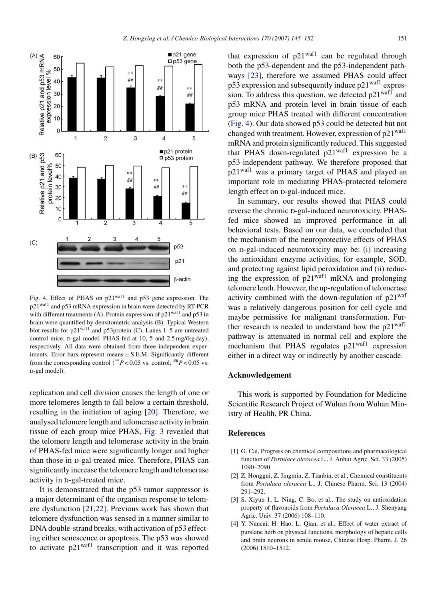<span id="page-6-0"></span>

Fig. 4. Effect of PHAS on p21waf1 and p53 gene expression. The p21waf1 and p53 mRNA expression in brain were detected by RT-PCR with different treatments (A). Protein expression of  $p21<sup>waf1</sup>$  and  $p53$  in brain were quantified by densitometric analysis (B). Typical Western blot results for p21waf1 and p53protein (C). Lanes 1–5 are untreated control mice, p-gal model. PHAS-fed at  $10$ , 5 and  $2.5$  mg/(kg day), respectively. All data were obtained from three independent experiments. Error bars represent means  $\pm$  S.E.M. Significantly different from the corresponding control (\*\**P* < 0.05 vs. control;  $#P$  < 0.05 vs.  $p$ -gal model).

replication and cell division causes the length of one or more telomeres length to fall below a certain threshold, resulting in the initiation of aging [\[20\].](#page-7-0) Therefore, we analysed telomere length and telomerase activity in brain tissue of each group mice PHAS, [Fig. 3](#page-5-0) revealed that the telomere length and telomerase activity in the brain of PHAS-fed mice were significantly longer and higher than those in p-gal-treated mice. Therefore, PHAS can significantly increase the telomere length and telomerase activity in  $p$ -gal-treated mice.

It is demonstrated that the p53 tumor suppressor is a major determinant of the organism response to telomere dysfunction [\[21,22\].](#page-7-0) Previous work has shown that telomere dysfunction was sensed in a manner similar to DNA double-strand breaks, with activation of p53 effecting either senescence or apoptosis. The p53 was showed to activate p21waf1 transcription and it was reported that expression of  $p21^{waf1}$  can be regulated through both the p53-dependent and the p53-independent pathways [\[23\],](#page-7-0) therefore we assumed PHAS could affect  $p53$  expression and subsequently induce  $p21<sup>waf1</sup>$  expression. To address this question, we detected  $p21<sup>waf1</sup>$  and p53 mRNA and protein level in brain tissue of each group mice PHAS treated with different concentration (Fig. 4). Our data showed p53 could be detected but not changed with treatment. However, expression of  $p21<sup>waf1</sup>$ mRNA and protein significantly reduced. This suggested that PHAS down-regulated  $p21^{waf1}$  expression be a p53-independent pathway. We therefore proposed that p21waf1 was a primary target of PHAS and played an important role in mediating PHAS-protected telomere length effect on  $p$ -gal-induced mice.

In summary, our results showed that PHAS could reverse the chronic p-gal-induced neurotoxicity. PHASfed mice showed an improved performance in all behavioral tests. Based on our data, we concluded that the mechanism of the neuroprotective effects of PHAS on D-gal-induced neurotoxicity may be: (i) increasing the antioxidant enzyme activities, for example, SOD, and protecting against lipid peroxidation and (ii) reducing the expression of  $p21^{waf1}$  mRNA and prolonging telomere lenth. However, the up-regulation of telomerase activity combined with the down-regulation of  $p21<sup>waf</sup>$ was a relatively dangerous position for cell cycle and maybe permissive for malignant transformation. Further research is needed to understand how the  $p21<sup>waf1</sup>$ pathway is attenuated in normal cell and explore the mechanism that PHAS regulates  $p21^{waf1}$  expression either in a direct way or indirectly by another cascade.

# **Acknowledgement**

This work is supported by Foundation for Medicine Scientific Research Project of Wuhan from Wuhan Ministry of Health, PR China.

#### **References**

- [1] G. Cai, Progress on chemical compositions and pharmacological function of *Portulace oleracea* L., J. Anhui Agric. Sci. 33 (2005) 1090–2090.
- [2] Z. Honggui, Z. Jingmin, Z. Tianbin, et al., Chemical constituents from *Portulaca oleracea* L., J. Chinese Pharm. Sci. 13 (2004) 291–292.
- [3] S. Xiyun 1, L. Ning, C. Bo, et al., The study on antioxidation property of flavonoids from *Portulaca Oleracea* L., J. Shenyang Agric. Univ. 37 (2006) 108–110.
- [4] Y. Nancai, H. Hao, L. Qian, et al., Effect of water extract of purslane herb on physical functions, morphology of hepatic cells and brain neurons in senile mouse, Chinese Hosp. Pharm. J. 26 (2006) 1510–1512.